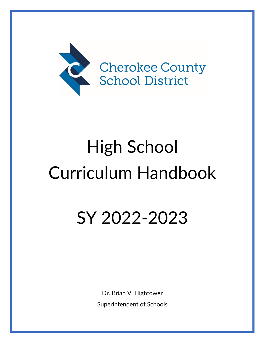

# High School Curriculum Handbook

# SY 2022-2023

Dr. Brian V. Hightower Superintendent of Schools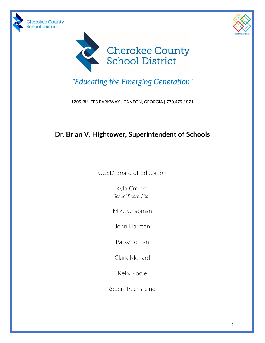





*"Educating the Emerging Generation"*

1205 BLUFFS PARKWAY | CANTON, GEORGIA | 770.479.1871

# **Dr. Brian V. Hightower, Superintendent of Schools**

| <b>CCSD Board of Education</b> |  |  |
|--------------------------------|--|--|
|                                |  |  |

Kyla Cromer *School Board Chair*

Mike Chapman

John Harmon

Patsy Jordan

Clark Menard

Kelly Poole

Robert Rechsteiner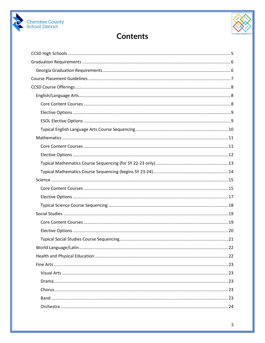



# **Contents**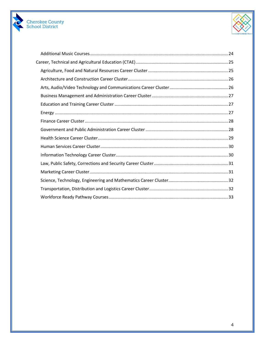

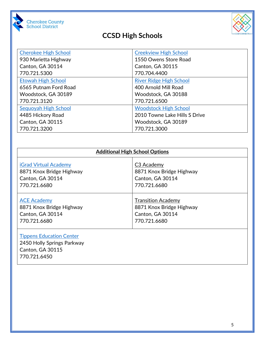

# **CCSD High Schools**



<span id="page-4-0"></span>

| <b>Cherokee High School</b> | <b>Creekview High School</b>   |  |
|-----------------------------|--------------------------------|--|
| 930 Marietta Highway        | 1550 Owens Store Road          |  |
| Canton, GA 30114            | <b>Canton, GA 30115</b>        |  |
| 770.721.5300                | 770.704.4400                   |  |
| <b>Etowah High School</b>   | <b>River Ridge High School</b> |  |
| 6565 Putnam Ford Road       | 400 Arnold Mill Road           |  |
| Woodstock, GA 30189         | Woodstock, GA 30188            |  |
| 770.721.3120                | 770.721.6500                   |  |
| Sequoyah High School        | <b>Woodstock High School</b>   |  |
| 4485 Hickory Road           | 2010 Towne Lake Hills S Drive  |  |
| <b>Canton, GA 30115</b>     | Woodstock, GA 30189            |  |
| 770.721.3200                | 770.721.3000                   |  |

| <b>Additional High School Options</b> |                           |  |
|---------------------------------------|---------------------------|--|
| <b>iGrad Virtual Academy</b>          | C <sub>3</sub> Academy    |  |
| 8871 Knox Bridge Highway              | 8871 Knox Bridge Highway  |  |
| Canton, GA 30114                      | Canton, GA 30114          |  |
| 770.721.6680                          | 770.721.6680              |  |
| <b>ACE Academy</b>                    | <b>Transition Academy</b> |  |
| 8871 Knox Bridge Highway              | 8871 Knox Bridge Highway  |  |
| Canton, GA 30114                      | Canton, GA 30114          |  |
| 770.721.6680                          | 770.721.6680              |  |

# [Tippens Education Center](http://www.cherokee.k12.ga.us/Schools/polaris/default.aspx)

2450 Holly Springs Parkway Canton, GA 30115 770.721.6450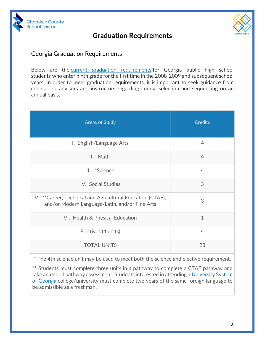



# **Graduation Requirements**

# <span id="page-5-1"></span><span id="page-5-0"></span>Georgia Graduation Requirements

Below are the [current graduation requirements](http://archives.gadoe.org/_documents/doe/legalservices/160-4-2-.48.pdf) for Georgia public high school students who enter ninth grade for the first time in the 2008-2009 and subsequent school years. In order to meet graduation requirements, it is important to seek guidance from counselors, advisors and instructors regarding course selection and sequencing on an annual basis.

| <b>Areas of Study</b>                                                                                       | <b>Credits</b> |
|-------------------------------------------------------------------------------------------------------------|----------------|
| I. English/Language Arts                                                                                    | $\overline{4}$ |
| II. Math                                                                                                    | $\overline{4}$ |
| III. *Science                                                                                               | $\overline{4}$ |
| IV. Social Studies                                                                                          | 3              |
| V. **Career, Technical and Agricultural Education (CTAE),<br>and/or Modern Language/Latin, and/or Fine Arts | 3              |
| VI. Health & Physical Education                                                                             | $\mathbf{1}$   |
| Electives (4 units)                                                                                         | 4              |
| <b>TOTAL UNITS</b>                                                                                          | 23             |

\* The 4th science unit may be used to meet both the science and elective requirement.

\*\* Students must complete three units in a pathway to complete a CTAE pathway and take an end of pathway assessment. Students interested in attending a [University System](http://www.usg.edu/assets/student_affairs/documents/Staying_on_Course.pdf)  [of Georgia](http://www.usg.edu/assets/student_affairs/documents/Staying_on_Course.pdf) college/university must complete two years of the same foreign language to be admissible as a freshman.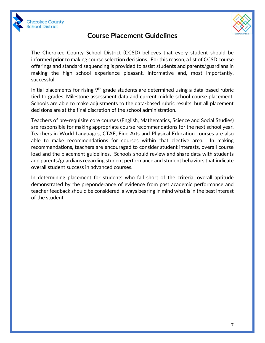



# **Course Placement Guidelines**

<span id="page-6-0"></span>The Cherokee County School District (CCSD) believes that every student should be informed prior to making course selection decisions. For this reason, a list of CCSD course offerings and standard sequencing is provided to assist students and parents/guardians in making the high school experience pleasant, informative and, most importantly, successful.

Initial placements for rising  $9<sup>th</sup>$  grade students are determined using a data-based rubric tied to grades, Milestone assessment data and current middle school course placement. Schools are able to make adjustments to the data-based rubric results, but all placement decisions are at the final discretion of the school administration.

Teachers of pre-requisite core courses (English, Mathematics, Science and Social Studies) are responsible for making appropriate course recommendations for the next school year. Teachers in World Languages, CTAE, Fine Arts and Physical Education courses are also able to make recommendations for courses within that elective area. In making recommendations, teachers are encouraged to consider student interests, overall course load and the placement guidelines. Schools should review and share data with students and parents/guardians regarding student performance and student behaviors that indicate overall student success in advanced courses.

In determining placement for students who fall short of the criteria, overall aptitude demonstrated by the preponderance of evidence from past academic performance and teacher feedback should be considered, always bearing in mind what is in the best interest of the student.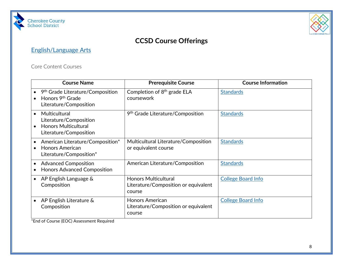



# **CCSD Course Offerings**

# [English/Language Arts](https://www.cherokeek12.net/Content2/language-arts)

Core Content Courses

<span id="page-7-2"></span><span id="page-7-1"></span><span id="page-7-0"></span>

|           | <b>Course Name</b>                                                                                     | <b>Prerequisite Course</b>                                                    | <b>Course Information</b> |
|-----------|--------------------------------------------------------------------------------------------------------|-------------------------------------------------------------------------------|---------------------------|
|           | 9 <sup>th</sup> Grade Literature/Composition<br>Honors 9 <sup>th</sup> Grade<br>Literature/Composition | Completion of $8th$ grade ELA<br>coursework                                   | <b>Standards</b>          |
| $\bullet$ | Multicultural<br>Literature/Composition<br><b>Honors Multicultural</b><br>Literature/Composition       | 9 <sup>th</sup> Grade Literature/Composition                                  | <b>Standards</b>          |
|           | American Literature/Composition*<br><b>Honors American</b><br>Literature/Composition*                  | Multicultural Literature/Composition<br>or equivalent course                  | <b>Standards</b>          |
|           | <b>Advanced Composition</b><br><b>Honors Advanced Composition</b>                                      | American Literature/Composition                                               | <b>Standards</b>          |
|           | AP English Language &<br>Composition                                                                   | <b>Honors Multicultural</b><br>Literature/Composition or equivalent<br>course | <b>College Board Info</b> |
|           | AP English Literature &<br>Composition                                                                 | <b>Honors American</b><br>Literature/Composition or equivalent<br>course      | <b>College Board Info</b> |

\*End of Course (EOC) Assessment Required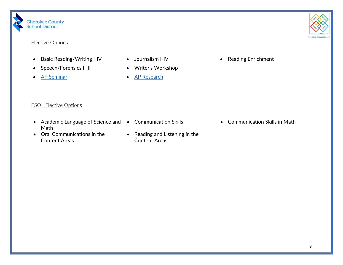

### Elective Options

- Basic Reading/Writing I-IV Journalism I-IV The Reading Enrichment
- Speech/Forensics I-III Writer's Workshop
- 
- 
- 
- [AP Seminar](https://apstudents.collegeboard.org/ap-capstone-diploma-program) [AP Research](https://apstudents.collegeboard.org/ap-capstone-diploma-program)

- ESOL Elective Options
- <span id="page-8-0"></span>• Academic Language of Science and • Communication Skills • Communication Skills in Math Math
- <span id="page-8-1"></span>• Oral Communications in the Content Areas
- 
- Reading and Listening in the Content Areas
- 

 $-CCSD$  CONNECTS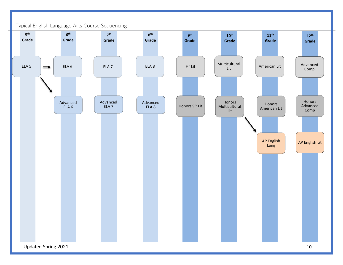<span id="page-9-0"></span>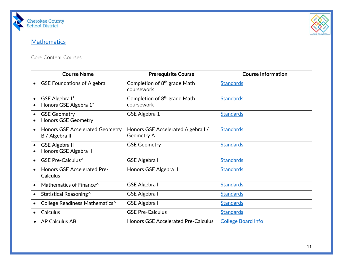



# **[Mathematics](https://www.cherokeek12.net/Content2/math)**

### Core Content Courses

<span id="page-10-1"></span><span id="page-10-0"></span>

|           | <b>Course Name</b>                                | <b>Prerequisite Course</b>                             | <b>Course Information</b> |
|-----------|---------------------------------------------------|--------------------------------------------------------|---------------------------|
|           | <b>GSE Foundations of Algebra</b>                 | Completion of $8th$ grade Math<br>coursework           | <b>Standards</b>          |
|           | GSE Algebra I*<br>Honors GSE Algebra 1*           | Completion of $8th$ grade Math<br>coursework           | <b>Standards</b>          |
|           | <b>GSE Geometry</b><br><b>Honors GSE Geometry</b> | GSE Algebra 1                                          | <b>Standards</b>          |
| $\bullet$ | Honors GSE Accelerated Geometry<br>B / Algebra II | Honors GSE Accelerated Algebra I/<br><b>Geometry A</b> | <b>Standards</b>          |
|           | <b>GSE Algebra II</b><br>Honors GSE Algebra II    | <b>GSE Geometry</b>                                    | <b>Standards</b>          |
|           | <b>GSE Pre-Calculus^</b>                          | <b>GSE Algebra II</b>                                  | <b>Standards</b>          |
|           | <b>Honors GSE Accelerated Pre-</b><br>Calculus    | Honors GSE Algebra II                                  | <b>Standards</b>          |
|           | Mathematics of Finance <sup>^</sup>               | <b>GSE Algebra II</b>                                  | <b>Standards</b>          |
|           | Statistical Reasoning^                            | <b>GSE Algebra II</b>                                  | <b>Standards</b>          |
|           | College Readiness Mathematics^                    | <b>GSE Algebra II</b>                                  | <b>Standards</b>          |
|           | <b>Calculus</b>                                   | <b>GSE Pre-Calculus</b>                                | <b>Standards</b>          |
|           | <b>AP Calculus AB</b>                             | <b>Honors GSE Accelerated Pre-Calculus</b>             | <b>College Board Info</b> |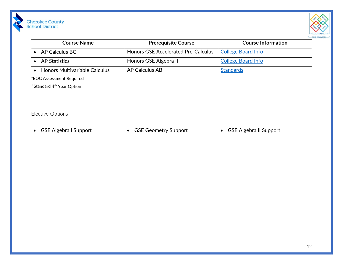| <b>Course Name</b>                   | <b>Prerequisite Course</b>                 | <b>Course Information</b> |
|--------------------------------------|--------------------------------------------|---------------------------|
| <b>AP Calculus BC</b>                | <b>Honors GSE Accelerated Pre-Calculus</b> | <b>College Board Info</b> |
| <b>AP Statistics</b>                 | Honors GSE Algebra II                      | <b>College Board Info</b> |
| <b>Honors Multivariable Calculus</b> | <b>AP Calculus AB</b>                      | <b>Standards</b>          |

\*EOC Assessment Required

^Standard 4th Year Option

Elective Options

Cherokee County<br>School District

<span id="page-11-0"></span>

- 
- GSE Algebra I Support GSE Geometry Support GSE Algebra II Support

 $ECTS$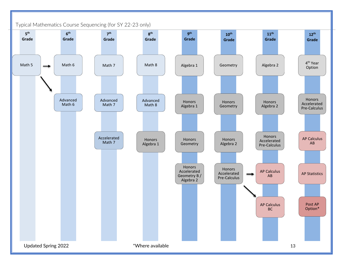<span id="page-12-0"></span>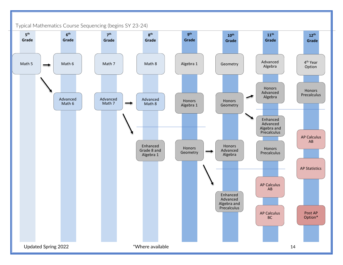<span id="page-13-0"></span>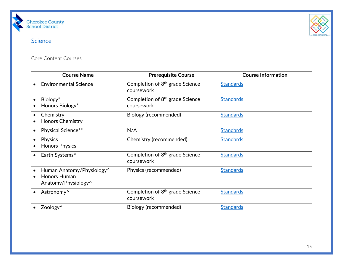



# **[Science](https://www.cherokeek12.net/Content2/science)**

Core Content Courses

<span id="page-14-1"></span><span id="page-14-0"></span>

|           | <b>Course Name</b>                                                           | <b>Prerequisite Course</b>                                | <b>Course Information</b> |
|-----------|------------------------------------------------------------------------------|-----------------------------------------------------------|---------------------------|
|           | <b>Environmental Science</b>                                                 | Completion of 8 <sup>th</sup> grade Science<br>coursework | <b>Standards</b>          |
|           | Biology*<br>Honors Biology*                                                  | Completion of 8 <sup>th</sup> grade Science<br>coursework | <b>Standards</b>          |
|           | Chemistry<br><b>Honors Chemistry</b>                                         | Biology (recommended)                                     | <b>Standards</b>          |
|           | Physical Science**                                                           | N/A                                                       | <b>Standards</b>          |
| $\bullet$ | <b>Physics</b><br><b>Honors Physics</b>                                      | Chemistry (recommended)                                   | <b>Standards</b>          |
| $\bullet$ | Earth Systems^                                                               | Completion of 8 <sup>th</sup> grade Science<br>coursework | <b>Standards</b>          |
|           | Human Anatomy/Physiology^<br>Honors Human<br>Anatomy/Physiology <sup>^</sup> | Physics (recommended)                                     | <b>Standards</b>          |
|           | Astronomy <sup>^</sup>                                                       | Completion of 8 <sup>th</sup> grade Science<br>coursework | <b>Standards</b>          |
|           | Zoology <sup>^</sup>                                                         | Biology (recommended)                                     | <b>Standards</b>          |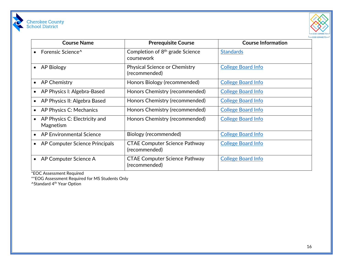



| <b>Course Name</b>                          | <b>Prerequisite Course</b>                                | <b>Course Information</b> |
|---------------------------------------------|-----------------------------------------------------------|---------------------------|
| Forensic Science <sup>^</sup>               | Completion of 8 <sup>th</sup> grade Science<br>coursework | <b>Standards</b>          |
| <b>AP Biology</b>                           | Physical Science or Chemistry<br>(recommended)            | <b>College Board Info</b> |
| <b>AP Chemistry</b><br>$\bullet$            | Honors Biology (recommended)                              | <b>College Board Info</b> |
| AP Physics I: Algebra-Based<br>$\bullet$    | Honors Chemistry (recommended)                            | <b>College Board Info</b> |
| AP Physics II: Algebra Based                | Honors Chemistry (recommended)                            | <b>College Board Info</b> |
| AP Physics C: Mechanics<br>$\bullet$        | Honors Chemistry (recommended)                            | <b>College Board Info</b> |
| AP Physics C: Electricity and<br>Magnetism  | Honors Chemistry (recommended)                            | <b>College Board Info</b> |
| AP Environmental Science                    | Biology (recommended)                                     | <b>College Board Info</b> |
| AP Computer Science Principals<br>$\bullet$ | <b>CTAE Computer Science Pathway</b><br>(recommended)     | <b>College Board Info</b> |
| AP Computer Science A                       | <b>CTAE Computer Science Pathway</b><br>(recommended)     | <b>College Board Info</b> |

\*EOC Assessment Required

\*\*EOG Assessment Required for MS Students Only

^Standard 4<sup>th</sup> Year Option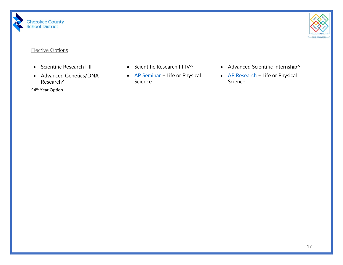



### Elective Options

- 
- Advanced Genetics/DNA Research^

<span id="page-16-0"></span>^4th Year Option

- 
- [AP Seminar](https://apstudents.collegeboard.org/ap-capstone-diploma-program) Life or Physical Science
- Scientific Research I-II Scientific Research III-IV^ Advanced Scientific Internship^
	- [AP Research](https://apstudents.collegeboard.org/ap-capstone-diploma-program) Life or Physical Science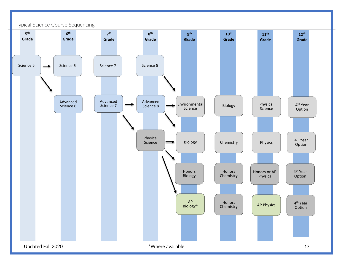<span id="page-17-0"></span>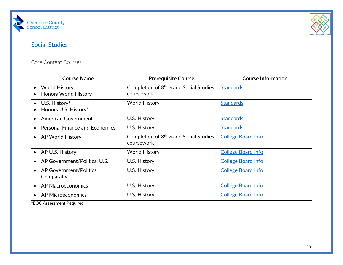



# **[Social Studies](https://www.cherokeek12.net/Content2/social-studies)**

# Core Content Courses

<span id="page-18-1"></span><span id="page-18-0"></span>

| <b>Course Name</b>                                         | <b>Prerequisite Course</b>                                       | <b>Course Information</b> |
|------------------------------------------------------------|------------------------------------------------------------------|---------------------------|
| <b>World History</b><br><b>Honors World History</b>        | Completion of 8 <sup>th</sup> grade Social Studies<br>coursework | <b>Standards</b>          |
| U.S. History*<br>$\bullet$<br>Honors U.S. History*         | World History                                                    | <b>Standards</b>          |
| American Government                                        | U.S. History                                                     | <b>Standards</b>          |
| <b>Personal Finance and Economics</b>                      | U.S. History                                                     | <b>Standards</b>          |
| <b>AP World History</b><br>$\bullet$                       | Completion of 8 <sup>th</sup> grade Social Studies<br>coursework | <b>College Board Info</b> |
| AP U.S. History<br>$\bullet$                               | <b>World History</b>                                             | <b>College Board Info</b> |
| AP Government/Politics: U.S.                               | U.S. History                                                     | <b>College Board Info</b> |
| <b>AP Government/Politics:</b><br>$\bullet$<br>Comparative | U.S. History                                                     | <b>College Board Info</b> |
| <b>AP Macroeconomics</b>                                   | U.S. History                                                     | <b>College Board Info</b> |
| AP Microeconomics                                          | U.S. History                                                     | <b>College Board Info</b> |

\*EOC Assessment Required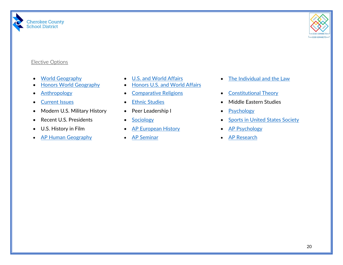



### Elective Options

- [World Geography](https://lor2.gadoe.org/gadoe/file/68f52f68-2ed3-417c-a77f-ea3ec85ae869/1/Social-Studies-World-Geography-Georgia-Standards.pdf)
- [Honors World Geography](https://lor2.gadoe.org/gadoe/file/68f52f68-2ed3-417c-a77f-ea3ec85ae869/1/Social-Studies-World-Geography-Georgia-Standards.pdf)
- 
- 
- Modern U.S. Military History Peer Leadership I [Psychology](https://www.georgiastandards.org/Georgia-Standards/Documents/Social-Studies-Psychology-Georgia-Standards.pdf)
- 
- 
- <span id="page-19-0"></span>• [AP Human Geography](https://apstudents.collegeboard.org/courses/ap-human-geography) • [AP Seminar](https://apstudents.collegeboard.org/ap-capstone-diploma-program) • [AP Research](https://apstudents.collegeboard.org/ap-capstone-diploma-program)
- [U.S. and World Affairs](https://lor2.gadoe.org/gadoe/file/0070abe1-7ce4-40bb-9dee-f299ede85bce/1/QCC%20Social%20Studies%209-12.pdf)
- [Honors U.S. and World Affairs](https://lor2.gadoe.org/gadoe/file/0070abe1-7ce4-40bb-9dee-f299ede85bce/1/QCC%20Social%20Studies%209-12.pdf)
- 
- 
- 
- 
- U.S. History in Film [AP European History](https://apstudents.collegeboard.org/courses/ap-european-history) [AP Psychology](https://apstudents.collegeboard.org/courses/ap-psychology)
	-
- [The Individual and the Law](https://lor2.gadoe.org/gadoe/file/0070abe1-7ce4-40bb-9dee-f299ede85bce/1/QCC%20Social%20Studies%209-12.pdf)
- [Anthropology](https://lor2.gadoe.org/gadoe/file/0070abe1-7ce4-40bb-9dee-f299ede85bce/1/QCC%20Social%20Studies%209-12.pdf) [Comparative Religions](https://lor2.gadoe.org/gadoe/file/0070abe1-7ce4-40bb-9dee-f299ede85bce/1/QCC%20Social%20Studies%209-12.pdf) [Constitutional Theory](https://lor2.gadoe.org/gadoe/file/0070abe1-7ce4-40bb-9dee-f299ede85bce/1/QCC%20Social%20Studies%209-12.pdf)
- [Current Issues](https://lor2.gadoe.org/gadoe/file/0070abe1-7ce4-40bb-9dee-f299ede85bce/1/QCC%20Social%20Studies%209-12.pdf) [Ethnic Studies](https://lor2.gadoe.org/gadoe/file/0070abe1-7ce4-40bb-9dee-f299ede85bce/1/QCC%20Social%20Studies%209-12.pdf) Current Issues Current Issues
	-
- Recent U.S. Presidents [Sociology](https://www.georgiastandards.org/Georgia-Standards/Documents/Social-Studies-Sociology-Georgia-Standards.pdf) Sociology [Sports in United States Society](https://lor2.gadoe.org/gadoe/file/6379c1b8-3f21-4c59-ad76-a91653ac23ce/1/Social-Studies-Sports-in-United-States-Society.pdf)
	-
	-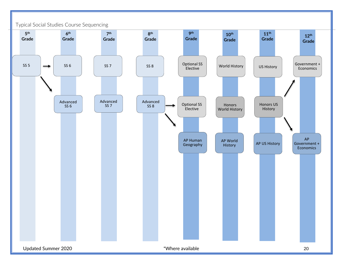<span id="page-20-0"></span>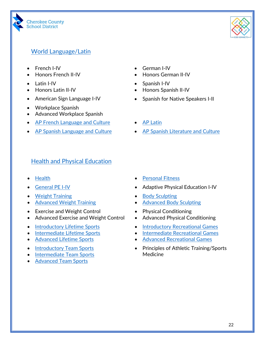



# <span id="page-21-0"></span>[World Language/Latin](https://www.cherokeek12.net/Content2/world-languages)

- French I-IV
- Honors French II-IV
- Latin I-IV
- Honors Latin II-IV
- 
- Workplace Spanish
- Advanced Workplace Spanish
- [AP French Language and Culture](https://apstudents.collegeboard.org/courses/ap-french-language-and-culture) [AP Latin](https://apstudents.collegeboard.org/courses/ap-latin)
- 
- German I-IV
- Honors German II-IV
- Spanish I-IV
- Honors Spanish II-IV
- American Sign Language I-IV Spanish for Native Speakers I-II
	-
- [AP Spanish Language and Culture](https://apstudents.collegeboard.org/courses/ap-spanish-language-and-culture) [AP Spanish Literature and Culture](https://apstudents.collegeboard.org/courses/ap-spanish-literature-and-culture)

# <span id="page-21-1"></span>**[Health and Physical Education](https://www.cherokeek12.net/Content2/healthphysical-education)**

- 
- 
- [Weight Training](https://www.georgiastandards.org/Georgia-Standards/Documents/Physical-Education-9-12-Georgia-Standards.pdf)
- [Advanced Weight Training](https://www.georgiastandards.org/Georgia-Standards/Documents/Physical-Education-9-12-Georgia-Standards.pdf)
- Exercise and Weight Control
- Advanced Exercise and Weight Control
- [Introductory Lifetime Sports](https://www.georgiastandards.org/Georgia-Standards/Documents/Physical-Education-9-12-Georgia-Standards.pdf)
- [Intermediate Lifetime Sports](https://www.georgiastandards.org/Georgia-Standards/Documents/Physical-Education-9-12-Georgia-Standards.pdf)
- [Advanced Lifetime Sports](https://www.georgiastandards.org/Georgia-Standards/Documents/Physical-Education-9-12-Georgia-Standards.pdf)
- [Introductory Team Sports](https://www.georgiastandards.org/Georgia-Standards/Documents/Physical-Education-9-12-Georgia-Standards.pdf)
- [Intermediate Team Sports](https://www.georgiastandards.org/Georgia-Standards/Documents/Physical-Education-9-12-Georgia-Standards.pdf)
- [Advanced Team Sports](https://www.georgiastandards.org/Georgia-Standards/Documents/Physical-Education-9-12-Georgia-Standards.pdf)
- [Health](https://www.georgiastandards.org/Georgia-Standards/Documents/Health-Education-9-12-Georgia-Standards.pdf) [Personal Fitness](https://www.georgiastandards.org/Georgia-Standards/Documents/Physical-Education-9-12-Georgia-Standards.pdf)
- [General PE I-IV](https://www.georgiastandards.org/Georgia-Standards/Documents/Physical-Education-9-12-Georgia-Standards.pdf) Adaptive Physical Education I-IV
	- [Body Sculpting](https://www.georgiastandards.org/Georgia-Standards/Documents/Physical-Education-9-12-Georgia-Standards.pdf)
	- [Advanced Body Sculpting](https://www.georgiastandards.org/Georgia-Standards/Documents/Physical-Education-9-12-Georgia-Standards.pdf)
	- Physical Conditioning
	- Advanced Physical Conditioning
	- [Introductory Recreational Games](https://www.georgiastandards.org/Georgia-Standards/Documents/Physical-Education-9-12-Georgia-Standards.pdf)
	- [Intermediate Recreational Games](https://www.georgiastandards.org/Georgia-Standards/Documents/Physical-Education-9-12-Georgia-Standards.pdf)
	- [Advanced Recreational Games](https://www.georgiastandards.org/Georgia-Standards/Documents/Physical-Education-9-12-Georgia-Standards.pdf)
	- Principles of Athletic Training/Sports Medicine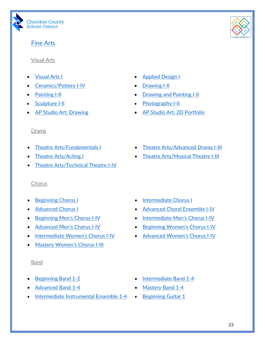

# <span id="page-22-0"></span>[Fine Arts](https://www.cherokeek12.net/Content2/fine-arts)

### <span id="page-22-1"></span>Visual Arts

- 
- **[Ceramics/Pottery I-IV](https://www.georgiastandards.org/Georgia-Standards/Documents/K-12-Visual-Art-Standards.pdf) [Drawing I-II](https://www.georgiastandards.org/Georgia-Standards/Documents/K-12-Visual-Art-Standards.pdf)**
- 
- 
- 
- [Visual Arts I](https://www.georgiastandards.org/Georgia-Standards/Documents/K-12-Visual-Art-Standards.pdf) [Applied Design I](https://www.georgiastandards.org/Georgia-Standards/Documents/K-12-Visual-Art-Standards.pdf)
	-
- **[Painting I-II](https://www.georgiastandards.org/Georgia-Standards/Documents/K-12-Visual-Art-Standards.pdf)** [Drawing and Painting I-II](https://www.georgiastandards.org/Georgia-Standards/Documents/K-12-Visual-Art-Standards.pdf)
- [Sculpture I-II](https://www.georgiastandards.org/Georgia-Standards/Documents/K-12-Visual-Art-Standards.pdf) [Photography I-II](https://www.georgiastandards.org/Georgia-Standards/Documents/K-12-Visual-Art-Standards.pdf)
	- [AP Studio Art: Drawing](https://apstudents.collegeboard.org/art-design-program) [AP Studio Art: 2D Portfolio](https://apstudents.collegeboard.org/art-design-program)

## <span id="page-22-2"></span>Drama

- 
- 
- [Theatre Arts/Technical Theatre I-IV](https://www.georgiastandards.org/Georgia-Standards/Documents/K-12-Theatre-Art-Standards.pdf)

## <span id="page-22-3"></span>Chorus

- 
- 
- 
- 
- [Intermediate Women's Chorus I-IV](https://www.georgiastandards.org/Georgia-Standards/Documents/K-12-Music-Georgia-Standards.pdf) [Advanced Women's Chorus I-IV](https://www.georgiastandards.org/Georgia-Standards/Documents/K-12-Music-Georgia-Standards.pdf)
- [Mastery Women's Chorus I-III](https://www.georgiastandards.org/Georgia-Standards/Documents/K-12-Music-Georgia-Standards.pdf)

## <span id="page-22-4"></span>Band

- 
- [Advanced Band 1-4](https://www.georgiastandards.org/Georgia-Standards/Documents/K-12-Music-Georgia-Standards.pdf) [Mastery Band 1-4](https://www.georgiastandards.org/Georgia-Standards/Documents/K-12-Music-Georgia-Standards.pdf)
- **[Intermediate Instrumental Ensemble 1-4](https://www.georgiastandards.org/Georgia-Standards/Documents/K-12-Music-Georgia-Standards.pdf) [Beginning Guitar 1](https://www.georgiastandards.org/Georgia-Standards/Documents/K-12-Music-Georgia-Standards.pdf)**
- [Theatre Arts/Fundamentals I](https://www.georgiastandards.org/Georgia-Standards/Documents/K-12-Theatre-Art-Standards.pdf) [Theatre Arts/Advanced Drama I-III](https://www.georgiastandards.org/Georgia-Standards/Documents/K-12-Theatre-Art-Standards.pdf)
	- [Theatre Arts/Acting I](https://www.georgiastandards.org/Georgia-Standards/Documents/K-12-Theatre-Art-Standards.pdf) [Theatre Arts/Musical](https://www.georgiastandards.org/Georgia-Standards/Documents/K-12-Theatre-Art-Standards.pdf) Theatre I-III

- **[Beginning Chorus I](https://www.georgiastandards.org/Georgia-Standards/Documents/K-12-Music-Georgia-Standards.pdf) [Intermediate Chorus I](https://www.georgiastandards.org/Georgia-Standards/Documents/K-12-Music-Georgia-Standards.pdf)**
- [Advanced Chorus](https://www.georgiastandards.org/Georgia-Standards/Documents/K-12-Music-Georgia-Standards.pdf) I **[Advanced Choral Ensemble I-IV](https://www.georgiastandards.org/Georgia-Standards/Documents/K-12-Music-Georgia-Standards.pdf)**
- [Beginning Men's Chorus I-IV](https://www.georgiastandards.org/Georgia-Standards/Documents/K-12-Music-Georgia-Standards.pdf) [Intermediate Men's Chorus I-IV](https://www.georgiastandards.org/Georgia-Standards/Documents/K-12-Music-Georgia-Standards.pdf)
- [Advanced Men's Chorus I-IV](https://www.georgiastandards.org/Georgia-Standards/Documents/K-12-Music-Georgia-Standards.pdf) [Beginning Women's Chorus I-IV](https://www.georgiastandards.org/Georgia-Standards/Documents/K-12-Music-Georgia-Standards.pdf)
	-

- **Part is a [Beginning Band 1-2](https://www.georgiastandards.org/Georgia-Standards/Documents/K-12-Music-Georgia-Standards.pdf) •** [Intermediate Band 1-4](https://www.georgiastandards.org/Georgia-Standards/Documents/K-12-Music-Georgia-Standards.pdf)
	-
	-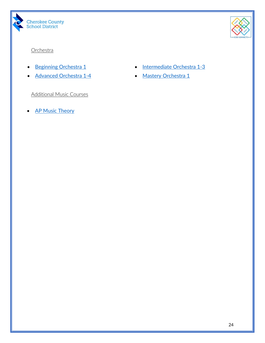



# <span id="page-23-0"></span>**Orchestra**

- 
- [Advanced Orchestra 1-4](https://www.georgiastandards.org/Georgia-Standards/Documents/K-12-Music-Georgia-Standards.pdf) [Mastery Orchestra 1](https://www.georgiastandards.org/Georgia-Standards/Documents/K-12-Music-Georgia-Standards.pdf)

<span id="page-23-1"></span>Additional Music Courses

• **[AP Music Theory](https://apstudents.collegeboard.org/courses/ap-music-theory)** 

- [Beginning Orchestra 1](https://www.georgiastandards.org/Georgia-Standards/Documents/K-12-Music-Georgia-Standards.pdf)  **[Intermediate Orchestra 1-3](https://www.georgiastandards.org/Georgia-Standards/Documents/K-12-Music-Georgia-Standards.pdf)** 
	-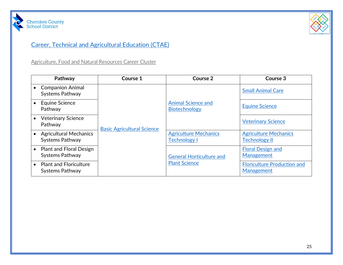



# [Career, Technical and Agricultural Education \(CTAE\)](https://www.cherokeek12.net/Content2/careers)

Agriculture, Food and Natural Resources Career Cluster

<span id="page-24-1"></span><span id="page-24-0"></span>

| Pathway                                                  | Course 1                          | Course 2                                                | Course 3                                                |
|----------------------------------------------------------|-----------------------------------|---------------------------------------------------------|---------------------------------------------------------|
| <b>Companion Animal</b><br><b>Systems Pathway</b>        |                                   | <b>Animal Science and</b><br><b>Biotechnology</b>       | <b>Small Animal Care</b>                                |
| Equine Science<br>Pathway                                | <b>Basic Agricultural Science</b> |                                                         | <b>Equine Science</b>                                   |
| <b>Veterinary Science</b><br>Pathway                     |                                   |                                                         | <b>Veterinary Science</b>                               |
| <b>Agricultural Mechanics</b><br><b>Systems Pathway</b>  |                                   | <b>Agriculture Mechanics</b><br><b>Technology I</b>     | <b>Agriculture Mechanics</b><br><b>Technology II</b>    |
| <b>Plant and Floral Design</b><br><b>Systems Pathway</b> |                                   | <b>General Horticulture and</b><br><b>Plant Science</b> | <b>Floral Design and</b><br>Management                  |
| <b>Plant and Floriculture</b><br><b>Systems Pathway</b>  |                                   |                                                         | <b>Floriculture Production and</b><br><b>Management</b> |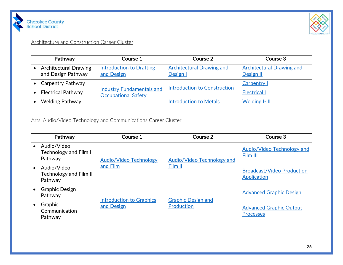



### Architecture and Construction Career Cluster

| Pathway                                            | Course 1                                                       | Course 2                                     | Course 3                                      |
|----------------------------------------------------|----------------------------------------------------------------|----------------------------------------------|-----------------------------------------------|
| <b>Architectural Drawing</b><br>and Design Pathway | Introduction to Drafting<br>and Design                         | <b>Architectural Drawing and</b><br>Design I | <b>Architectural Drawing and</b><br>Design II |
| <b>Carpentry Pathway</b>                           | <b>Industry Fundamentals and</b><br><b>Occupational Safety</b> | <b>Introduction to Construction</b>          | Carpentry I                                   |
| <b>Electrical Pathway</b>                          |                                                                |                                              | <b>Electrical I</b>                           |
| <b>Welding Pathway</b>                             |                                                                | <b>Introduction to Metals</b>                | <b>Welding I-III</b>                          |

# <span id="page-25-0"></span>Arts, Audio/Video Technology and Communications Career Cluster

<span id="page-25-1"></span>

| Pathway                                                | Course 1                                      | Course 2                                | Course 3                                           |
|--------------------------------------------------------|-----------------------------------------------|-----------------------------------------|----------------------------------------------------|
| Audio/Video<br><b>Technology and Film I</b><br>Pathway | <b>Audio/Video Technology</b>                 | Audio/Video Technology and<br>Film II   | <b>Audio/Video Technology and</b><br>Film III      |
| Audio/Video<br>Technology and Film II<br>Pathway       | and Film                                      |                                         | <b>Broadcast/Video Production</b><br>Application   |
| <b>Graphic Design</b><br>Pathway                       | <b>Introduction to Graphics</b><br>and Design | <b>Graphic Design and</b><br>Production | <b>Advanced Graphic Design</b>                     |
| Graphic<br>Communication<br>Pathway                    |                                               |                                         | <b>Advanced Graphic Output</b><br><b>Processes</b> |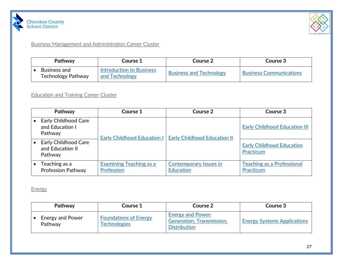



Business Management and Administration Career Cluster

| Pathway                                   | Course 1                                          | Course 2                       | Course 3                       |
|-------------------------------------------|---------------------------------------------------|--------------------------------|--------------------------------|
| Business and<br><b>Technology Pathway</b> | <b>Introduction to Business</b><br>and Technology | <b>Business and Technology</b> | <b>Business Communications</b> |

# Education and Training Career Cluster

<span id="page-26-0"></span>

| Pathway                                                    | Course 1                                     | Course 2                                          | Course 3                                       |
|------------------------------------------------------------|----------------------------------------------|---------------------------------------------------|------------------------------------------------|
| <b>Early Childhood Care</b><br>and Education I<br>Pathway  | <b>Early Childhood Education I</b>           | <b>Early Childhood Education II</b>               | <b>Early Childhood Education III</b>           |
| <b>Early Childhood Care</b><br>and Education II<br>Pathway |                                              |                                                   | <b>Early Childhood Education</b><br>Practicum  |
| Teaching as a<br><b>Profession Pathway</b>                 | <b>Examining Teaching as a</b><br>Profession | <b>Contemporary Issues in</b><br><b>Education</b> | <b>Teaching as a Professional</b><br>Practicum |

<span id="page-26-1"></span>Energy

<span id="page-26-2"></span>

| Pathway                     | Course 1                                            | Course 2                                                                     | Course 3                           |
|-----------------------------|-----------------------------------------------------|------------------------------------------------------------------------------|------------------------------------|
| Energy and Power<br>Pathway | <b>Foundations of Energy</b><br><b>Technologies</b> | <b>Energy and Power:</b><br>Generation, Transmission,<br><b>Distribution</b> | <b>Energy Systems Applications</b> |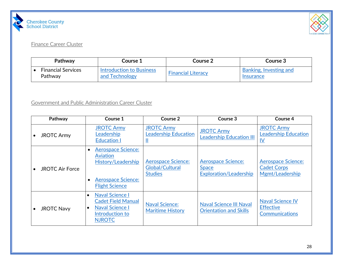



### Finance Career Cluster

| Pathway                   | Course 1                        | <b>Course 2</b>           | <b>Course 3</b>                |
|---------------------------|---------------------------------|---------------------------|--------------------------------|
| <b>Financial Services</b> | <b>Introduction to Business</b> | <b>Financial Literacy</b> | Banking, Investing and         |
| Pathway                   | and Technology                  |                           | <i><u><b>Insurance</b></u></i> |

# Government and Public Administration Career Cluster

<span id="page-27-1"></span><span id="page-27-0"></span>

| Pathway                | Course 1                                                                                                                                    | Course 2                                                       | Course 3                                                                   | Course 4                                                             |
|------------------------|---------------------------------------------------------------------------------------------------------------------------------------------|----------------------------------------------------------------|----------------------------------------------------------------------------|----------------------------------------------------------------------|
| <b>JROTC Army</b>      | <b>JROTC Army</b><br>Leadership<br><b>Education I</b>                                                                                       | <b>JROTC Army</b><br><b>Leadership Education</b>               | <b>JROTC Army</b><br><b>Leadership Education III</b>                       | <b>JROTC Army</b><br><b>Leadership Education</b><br>IV               |
| <b>JROTC Air Force</b> | <b>Aerospace Science:</b><br>$\bullet$<br>Aviation<br>History/Leadership<br><b>Aerospace Science:</b><br>$\bullet$<br><b>Flight Science</b> | <b>Aerospace Science:</b><br>Global/Cultural<br><b>Studies</b> | <b>Aerospace Science:</b><br><b>Space</b><br><b>Exploration/Leadership</b> | <b>Aerospace Science:</b><br><b>Cadet Corps</b><br>Mgmt/Leadership   |
| <b>JROTC Navy</b>      | <b>Naval Science I</b><br>$\bullet$<br><b>Cadet Field Manual</b><br><b>Naval Science I</b><br>$\bullet$<br>Introduction to<br><b>NJROTC</b> | <b>Naval Science:</b><br><b>Maritime History</b>               | <b>Naval Science III Naval</b><br><b>Orientation and Skills</b>            | <b>Naval Science IV</b><br><b>Effective</b><br><b>Communications</b> |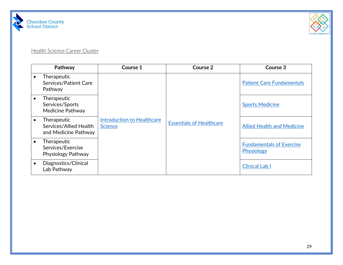



### **Health Science Career Cluster**

<span id="page-28-0"></span>

|           | Pathway                                                       | Course 1                                     | Course 2                        | Course 3                                      |
|-----------|---------------------------------------------------------------|----------------------------------------------|---------------------------------|-----------------------------------------------|
|           | Therapeutic<br>Services/Patient Care<br>Pathway               |                                              |                                 | <b>Patient Care Fundamentals</b>              |
|           | Therapeutic<br>Services/Sports<br>Medicine Pathway            |                                              |                                 | <b>Sports Medicine</b>                        |
| $\bullet$ | Therapeutic<br>Services/Allied Health<br>and Medicine Pathway | Introduction to Healthcare<br><b>Science</b> | <b>Essentials of Healthcare</b> | <b>Allied Health and Medicine</b>             |
|           | Therapeutic<br>Services/Exercise<br>Physiology Pathway        |                                              |                                 | <b>Fundamentals of Exercise</b><br>Physiology |
|           | Diagnostics/Clinical<br>Lab Pathway                           |                                              |                                 | <b>Clinical Lab I</b>                         |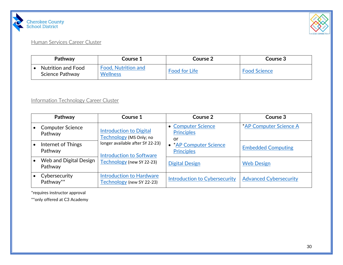



# Human Services Career Cluster

| Pathway                                      | Course 1                        | Course 2             | <b>Course 3</b>     |
|----------------------------------------------|---------------------------------|----------------------|---------------------|
| <b>Nutrition and Food</b><br>Science Pathway | Food, Nutrition and<br>Wellness | <b>Food for Life</b> | <b>Food Science</b> |

# Information Technology Career Cluster

<span id="page-29-0"></span>

| Pathway                            | Course 1                                                                                         | Course 2                                      | Course 3                      |
|------------------------------------|--------------------------------------------------------------------------------------------------|-----------------------------------------------|-------------------------------|
| <b>Computer Science</b><br>Pathway | <b>Introduction to Digital</b><br>Technology (MS Only; no                                        | • Computer Science<br><b>Principles</b><br>or | *AP Computer Science A        |
| Internet of Things<br>Pathway      | longer available after SY 22-23)<br><b>Introduction to Software</b><br>Technology (new SY 22-23) | • * AP Computer Science<br><b>Principles</b>  | <b>Embedded Computing</b>     |
| Web and Digital Design<br>Pathway  |                                                                                                  | <b>Digital Design</b>                         | <b>Web Design</b>             |
| Cybersecurity<br>Pathway**         | <b>Introduction to Hardware</b><br>Technology (new SY 22-23)                                     | <b>Introduction to Cybersecurity</b>          | <b>Advanced Cybersecurity</b> |

<span id="page-29-1"></span>\*requires instructor approval

\*\*only offered at C3 Academy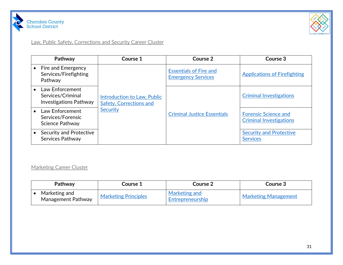



# Law, Public Safety, Corrections and Security Career Cluster

| Pathway                                                               | Course 1                                                                         | Course 2                                                   | Course 3                                                      |
|-----------------------------------------------------------------------|----------------------------------------------------------------------------------|------------------------------------------------------------|---------------------------------------------------------------|
| Fire and Emergency<br>Services/Firefighting<br>Pathway                | <b>Introduction to Law, Public</b><br>Safety, Corrections and<br><b>Security</b> | <b>Essentials of Fire and</b><br><b>Emergency Services</b> | <b>Applications of Firefighting</b>                           |
| Law Enforcement<br>Services/Criminal<br><b>Investigations Pathway</b> |                                                                                  |                                                            | <b>Criminal Investigations</b>                                |
| Law Enforcement<br>Services/Forensic<br><b>Science Pathway</b>        |                                                                                  | <b>Criminal Justice Essentials</b>                         | <b>Forensic Science and</b><br><b>Criminal Investigations</b> |
| <b>Security and Protective</b><br>Services Pathway                    |                                                                                  |                                                            | <b>Security and Protective</b><br><b>Services</b>             |

### <span id="page-30-0"></span>Marketing Career Cluster

<span id="page-30-1"></span>

| Pathway                             | Course 1                    | Course 2                          | Course 3                    |
|-------------------------------------|-----------------------------|-----------------------------------|-----------------------------|
| Marketing and<br>Management Pathway | <b>Marketing Principles</b> | Marketing and<br>Entrepreneurship | <b>Marketing Management</b> |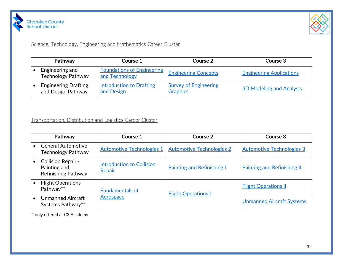



### Science, Technology, Engineering and Mathematics Career Cluster

| Pathway                                           | Course 1                                            | Course 2                                        | Course 3                        |
|---------------------------------------------------|-----------------------------------------------------|-------------------------------------------------|---------------------------------|
| Engineering and<br><b>Technology Pathway</b>      | <b>Foundations of Engineering</b><br>and Technology | <b>Engineering Concepts</b>                     | <b>Engineering Applications</b> |
| <b>Engineering Drafting</b><br>and Design Pathway | Introduction to Drafting<br>and Design              | <b>Survey of Engineering</b><br><b>Graphics</b> | <b>3D Modeling and Analysis</b> |

<span id="page-31-0"></span>Transportation, Distribution and Logistics Career Cluster

| Pathway                                                                 | Course 1                            | Course 2                          | Course 3                           |
|-------------------------------------------------------------------------|-------------------------------------|-----------------------------------|------------------------------------|
| <b>General Automotive</b><br><b>Technology Pathway</b>                  | <b>Automotive Technologies 1</b>    | <b>Automotive Technologies 2</b>  | <b>Automotive Technologies 3</b>   |
| <b>Collision Repair -</b><br>Painting and<br><b>Refinishing Pathway</b> | Introduction to Collision<br>Repair | <b>Painting and Refinishing I</b> | <b>Painting and Refinishing II</b> |
| <b>Flight Operations</b><br>Pathway**                                   | <b>Fundamentals of</b><br>Aerospace | <b>Flight Operations I</b>        | <b>Flight Operations II</b>        |
| <b>Unmanned Aircraft</b><br>Systems Pathway**                           |                                     |                                   | <b>Unmanned Aircraft Systems</b>   |

<span id="page-31-1"></span>\*\*only offered at C3 Academy